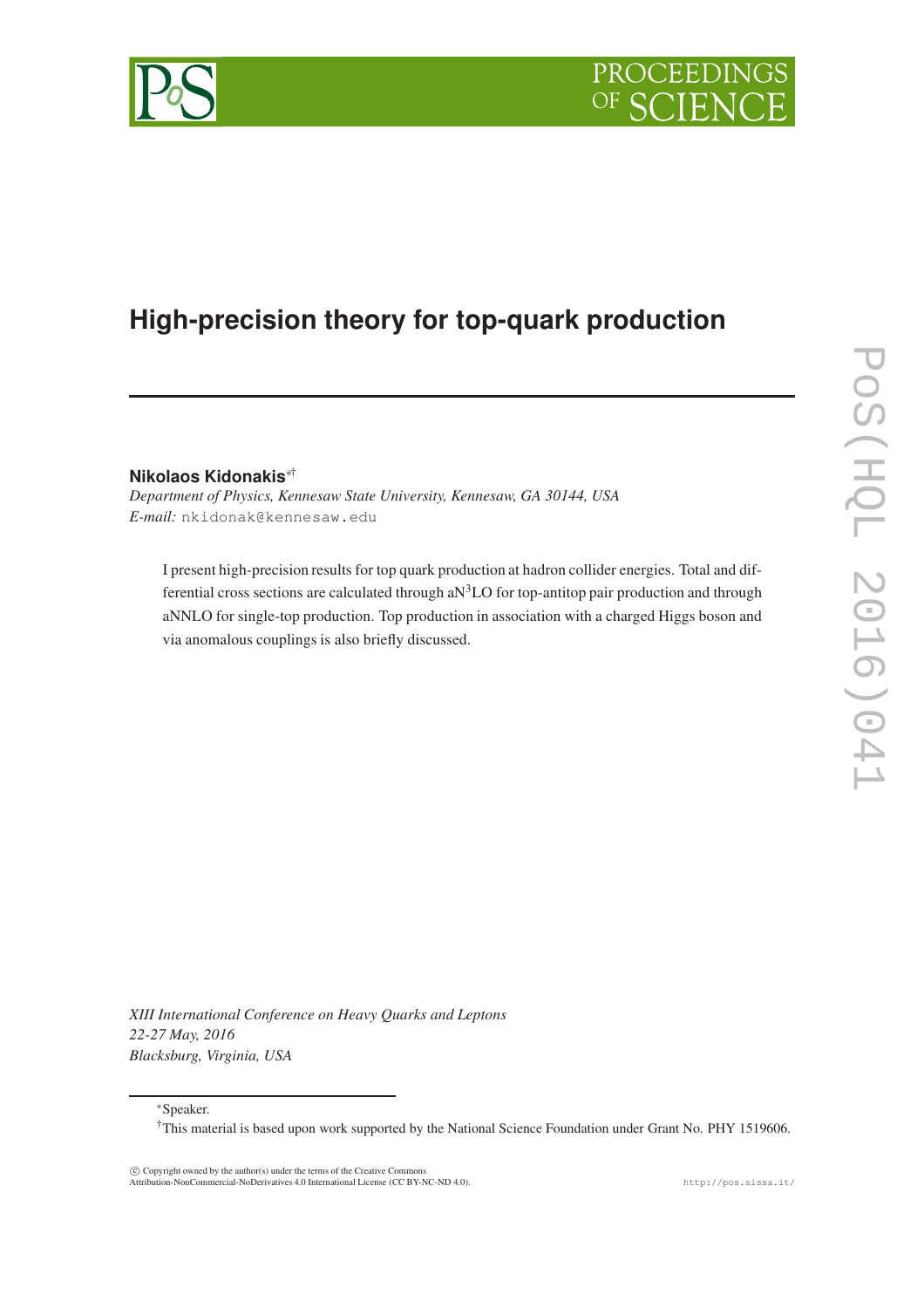

# **High-precision theory for top-quark production**

**Nikolaos Kidonakis**∗†

*Department of Physics, Kennesaw State University, Kennesaw, GA 30144, USA E-mail:* nkidonak@kennesaw.edu

I present high-precision results for top quark production at hadron collider energies. Total and differential cross sections are calculated through  $aN<sup>3</sup>LO$  for top-antitop pair production and through aNNLO for single-top production. Top production in association with a charged Higgs boson and via anomalous couplings is also briefly discussed.

*XIII International Conference on Heavy Quarks and Leptons 22-27 May, 2016 Blacksburg, Virginia, USA*

∗Speaker.

 c Copyright owned by the author(s) under the terms of the Creative Commons Attribution-NonCommercial-NoDerivatives 4.0 International License (CC BY-NC-ND 4.0). http://pos.sissa.it/

<sup>†</sup>This material is based upon work supported by the National Science Foundation under Grant No. PHY 1519606.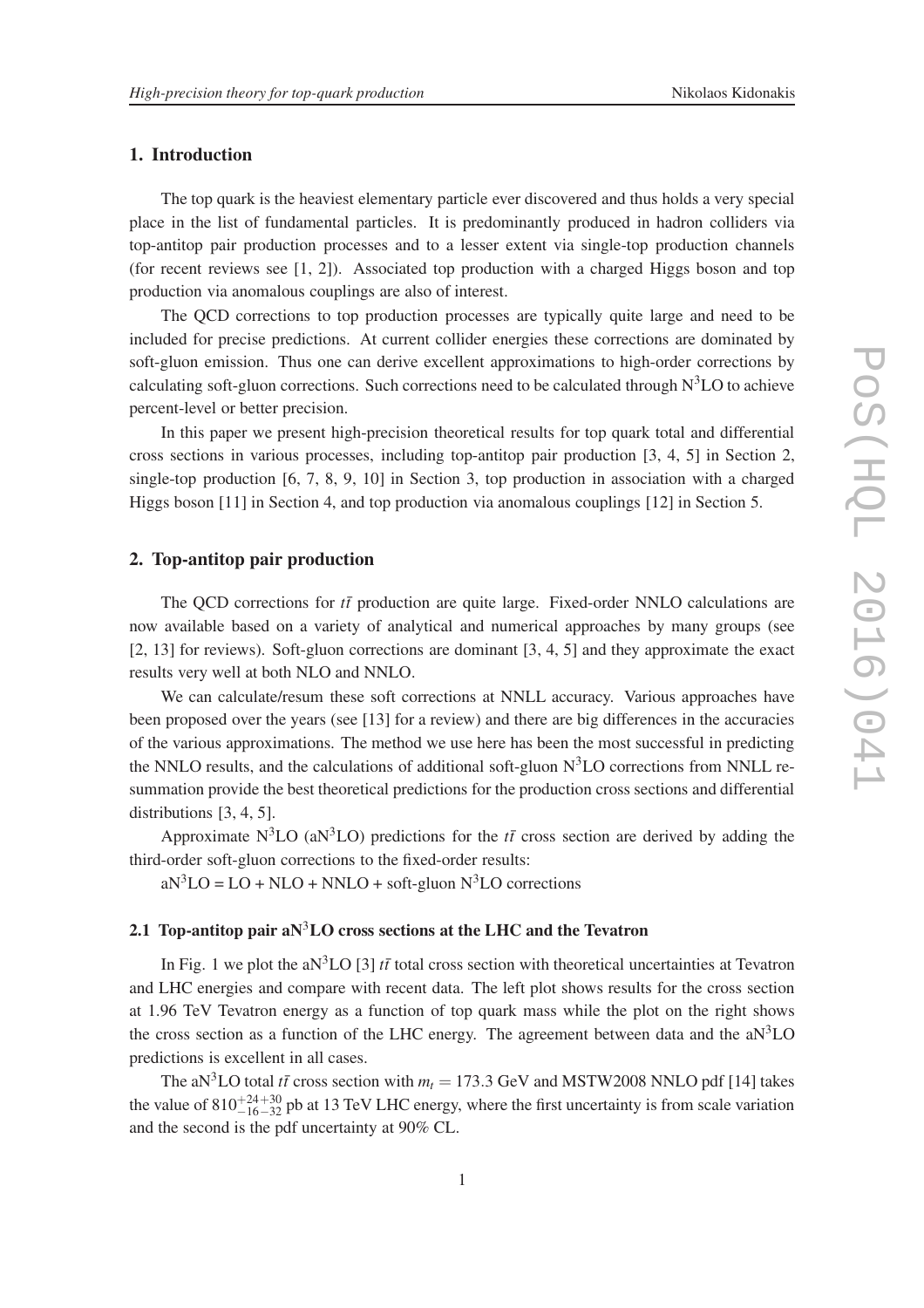# 1. Introduction

The top quark is the heaviest elementary particle ever discovered and thus holds a very special place in the list of fundamental particles. It is predominantly produced in hadron colliders via top-antitop pair production processes and to a lesser extent via single-top production channels (for recent reviews see [1, 2]). Associated top production with a charged Higgs boson and top production via anomalous couplings are also of interest.

The QCD corrections to top production processes are typically quite large and need to be included for precise predictions. At current collider energies these corrections are dominated by soft-gluon emission. Thus one can derive excellent approximations to high-order corrections by calculating soft-gluon corrections. Such corrections need to be calculated through  $N<sup>3</sup>LO$  to achieve percent-level or better precision.

In this paper we present high-precision theoretical results for top quark total and differential cross sections in various processes, including top-antitop pair production [3, 4, 5] in Section 2, single-top production [6, 7, 8, 9, 10] in Section 3, top production in association with a charged Higgs boson [11] in Section 4, and top production via anomalous couplings [12] in Section 5.

# 2. Top-antitop pair production

The QCD corrections for  $t\bar{t}$  production are quite large. Fixed-order NNLO calculations are now available based on a variety of analytical and numerical approaches by many groups (see [2, 13] for reviews). Soft-gluon corrections are dominant [3, 4, 5] and they approximate the exact results very well at both NLO and NNLO.

We can calculate/resum these soft corrections at NNLL accuracy. Various approaches have been proposed over the years (see [13] for a review) and there are big differences in the accuracies of the various approximations. The method we use here has been the most successful in predicting the NNLO results, and the calculations of additional soft-gluon  $N<sup>3</sup>LO$  corrections from NNLL resummation provide the best theoretical predictions for the production cross sections and differential distributions [3, 4, 5].

Approximate  $N^3LO$  (a $N^3LO$ ) predictions for the  $t\bar{t}$  cross section are derived by adding the third-order soft-gluon corrections to the fixed-order results:

 $aN^3LO = LO + NLO + NNLO + soft-gluon N^3LO$  corrections

# 2.1 Top-antitop pair a $N^3LO$  cross sections at the LHC and the Tevatron

In Fig. 1 we plot the aN<sup>3</sup>LO [3]  $t\bar{t}$  total cross section with theoretical uncertainties at Tevatron and LHC energies and compare with recent data. The left plot shows results for the cross section at 1.96 TeV Tevatron energy as a function of top quark mass while the plot on the right shows the cross section as a function of the LHC energy. The agreement between data and the  $aN<sup>3</sup>LO$ predictions is excellent in all cases.

The aN<sup>3</sup>LO total *tt*<sup> $\bar{t}$ </sup> cross section with  $m_t = 173.3$  GeV and MSTW2008 NNLO pdf [14] takes the value of  $810^{+24+30}_{-16-32}$  pb at 13 TeV LHC energy, where the first uncertainty is from scale variation and the second is the pdf uncertainty at 90% CL.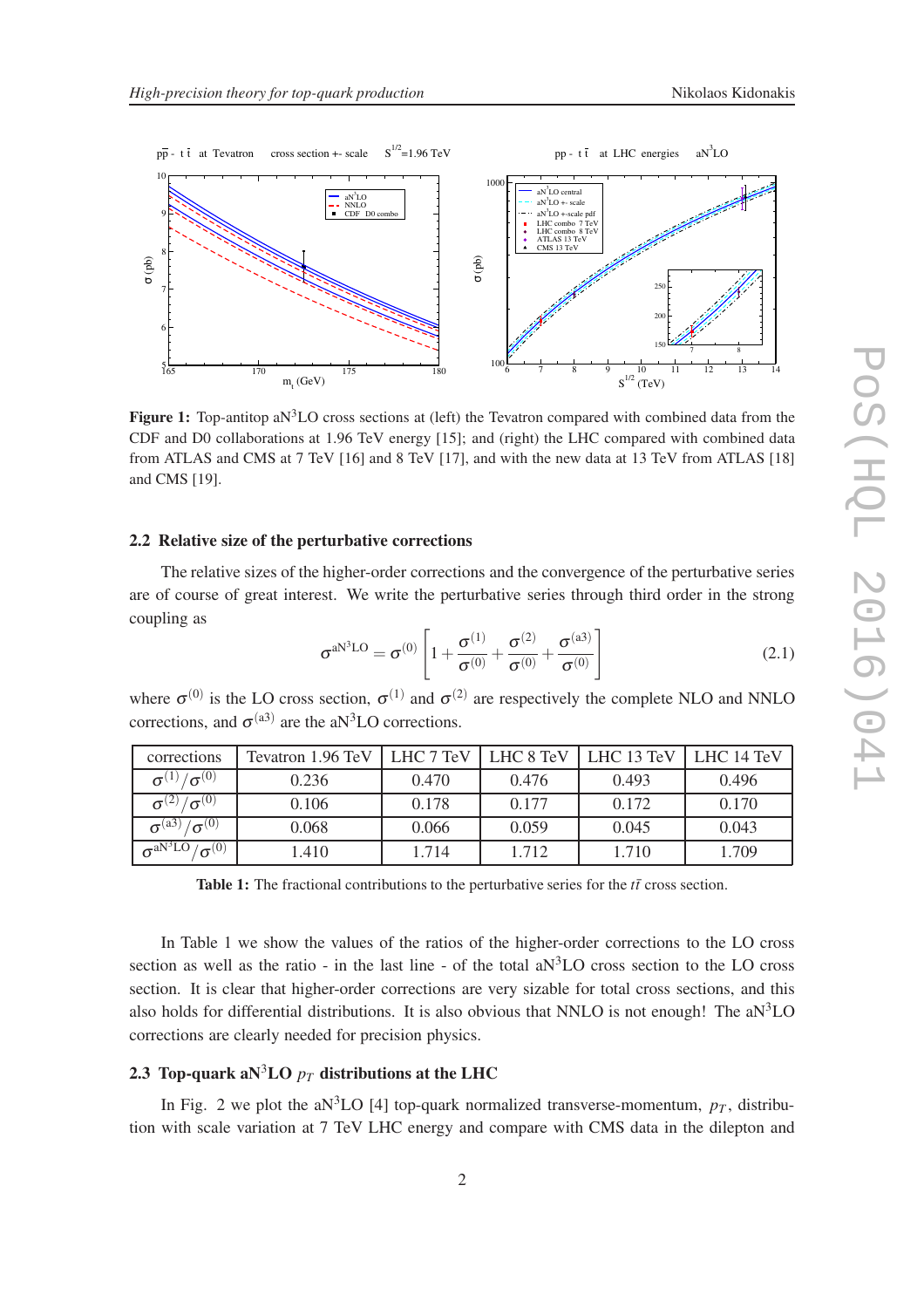



**Figure 1:** Top-antitop aN<sup>3</sup>LO cross sections at (left) the Tevatron compared with combined data from the CDF and D0 collaborations at 1.96 TeV energy [15]; and (right) the LHC compared with combined data from ATLAS and CMS at 7 TeV [16] and 8 TeV [17], and with the new data at 13 TeV from ATLAS [18] and CMS [19].

# 2.2 Relative size of the perturbative corrections

The relative sizes of the higher-order corrections and the convergence of the perturbative series are of course of great interest. We write the perturbative series through third order in the strong coupling as

$$
\sigma^{aN^3LO} = \sigma^{(0)} \left[ 1 + \frac{\sigma^{(1)}}{\sigma^{(0)}} + \frac{\sigma^{(2)}}{\sigma^{(0)}} + \frac{\sigma^{(a3)}}{\sigma^{(0)}} \right]
$$
(2.1)

where  $\sigma^{(0)}$  is the LO cross section,  $\sigma^{(1)}$  and  $\sigma^{(2)}$  are respectively the complete NLO and NNLO corrections, and  $\sigma^{(a3)}$  are the aN<sup>3</sup>LO corrections.

| corrections                    | Tevatron 1.96 TeV | LHC 7 TeV | LHC 8 TeV | LHC 13 TeV | LHC 14 TeV |
|--------------------------------|-------------------|-----------|-----------|------------|------------|
| $\sigma^{(1)}/\sigma^{(0)}$    | 0.236             | 0.470     | 0.476     | 0.493      | 0.496      |
| $\sigma^{(2)}/\sigma^{(0)}$    | 0.106             | 0.178     | 0.177     | 0.172      | 0.170      |
| $\sigma^{(a3)}/\sigma^{(0)}$   | 0.068             | 0.066     | 0.059     | 0.045      | 0.043      |
| $\sigma^{aN^3LO}/\sigma^{(0)}$ | L <sub>410</sub>  | 1.714     | 1.712     | 1.710      | 1.709      |

Table 1: The fractional contributions to the perturbative series for the  $t\bar{t}$  cross section.

In Table 1 we show the values of the ratios of the higher-order corrections to the LO cross section as well as the ratio - in the last line - of the total  $aN<sup>3</sup>LO$  cross section to the LO cross section. It is clear that higher-order corrections are very sizable for total cross sections, and this also holds for differential distributions. It is also obvious that NNLO is not enough! The  $aN<sup>3</sup>LO$ corrections are clearly needed for precision physics.

# 2.3 Top-quark aN<sup>3</sup>LO  $p_T$  distributions at the LHC

In Fig. 2 we plot the aN<sup>3</sup>LO [4] top-quark normalized transverse-momentum,  $p_T$ , distribution with scale variation at 7 TeV LHC energy and compare with CMS data in the dilepton and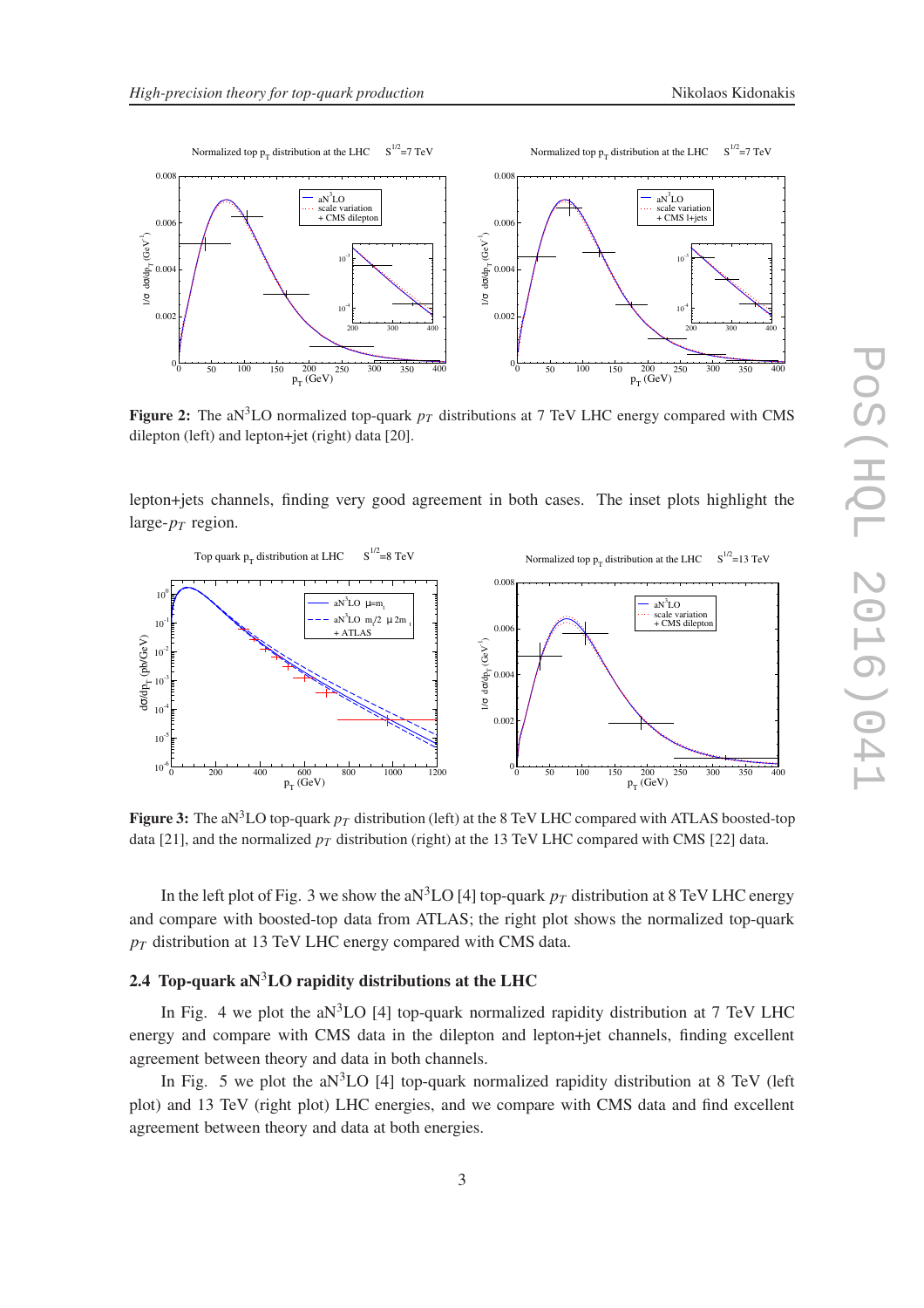

Figure 2: The aN<sup>3</sup>LO normalized top-quark  $p_T$  distributions at 7 TeV LHC energy compared with CMS dilepton (left) and lepton+jet (right) data [20].

lepton+jets channels, finding very good agreement in both cases. The inset plots highlight the large- $p_T$  region.



**Figure 3:** The aN<sup>3</sup>LO top-quark  $p<sub>T</sub>$  distribution (left) at the 8 TeV LHC compared with ATLAS boosted-top data [21], and the normalized  $p_T$  distribution (right) at the 13 TeV LHC compared with CMS [22] data.

In the left plot of Fig. 3 we show the aN<sup>3</sup>LO [4] top-quark  $p_T$  distribution at 8 TeV LHC energy and compare with boosted-top data from ATLAS; the right plot shows the normalized top-quark *p<sup>T</sup>* distribution at 13 TeV LHC energy compared with CMS data.

# 2.4 Top-quark a $N^3LO$  rapidity distributions at the LHC

In Fig. 4 we plot the aN ${}^{3}$ LO [4] top-quark normalized rapidity distribution at 7 TeV LHC energy and compare with CMS data in the dilepton and lepton+jet channels, finding excellent agreement between theory and data in both channels.

In Fig. 5 we plot the aN<sup>3</sup>LO [4] top-quark normalized rapidity distribution at 8 TeV (left plot) and 13 TeV (right plot) LHC energies, and we compare with CMS data and find excellent agreement between theory and data at both energies.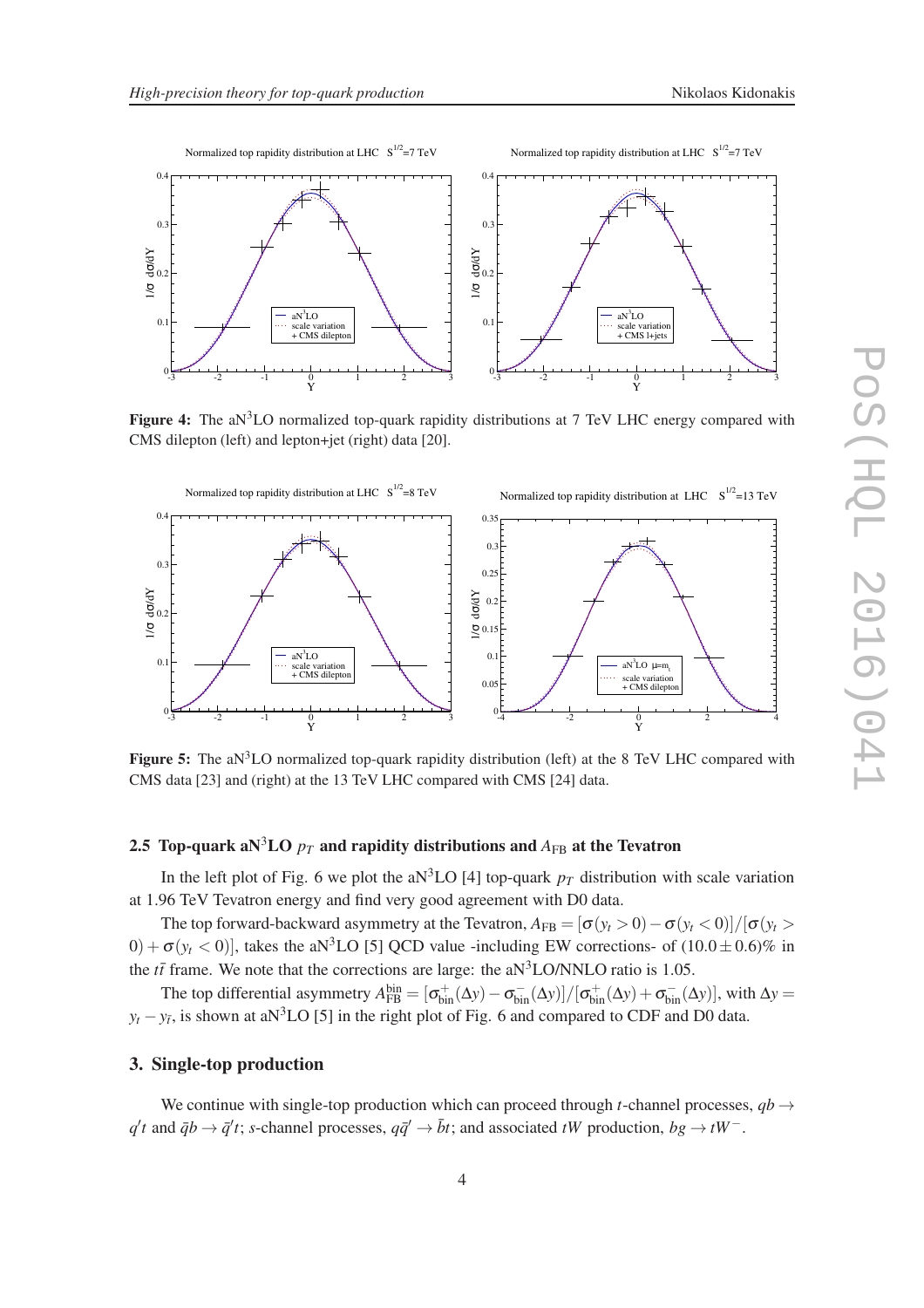



Figure 4: The aN<sup>3</sup>LO normalized top-quark rapidity distributions at 7 TeV LHC energy compared with CMS dilepton (left) and lepton+jet (right) data [20].



**Figure 5:** The aN<sup>3</sup>LO normalized top-quark rapidity distribution (left) at the 8 TeV LHC compared with CMS data [23] and (right) at the 13 TeV LHC compared with CMS [24] data.

# 2.5 Top-quark aN<sup>3</sup>LO  $p_T$  and rapidity distributions and  $A_{FB}$  at the Tevatron

In the left plot of Fig. 6 we plot the aN<sup>3</sup>LO [4] top-quark  $p_T$  distribution with scale variation at 1.96 TeV Tevatron energy and find very good agreement with D0 data.

The top forward-backward asymmetry at the Tevatron,  $A_{FB} = [\sigma(y_t > 0) - \sigma(y_t < 0)]/[\sigma(y_t > 0)]$  $(0) + \sigma(y_t < 0)$ , takes the aN<sup>3</sup>LO [5] QCD value -including EW corrections- of  $(10.0 \pm 0.6)\%$  in the  $t\bar{t}$  frame. We note that the corrections are large: the aN<sup>3</sup>LO/NNLO ratio is 1.05.

The top differential asymmetry  $A_{FB}^{bin} = [\sigma_{bin}^{+}(\Delta y) - \sigma_{bin}^{-}(\Delta y)]/[\sigma_{bin}^{+}(\Delta y) + \sigma_{bin}^{-}(\Delta y)]$ , with  $\Delta y =$  $y_t - y_{\bar{t}}$ , is shown at aN<sup>3</sup>LO [5] in the right plot of Fig. 6 and compared to CDF and D0 data.

# 3. Single-top production

We continue with single-top production which can proceed through *t*-channel processes,  $q b \rightarrow$  $q't$  and  $\bar{q}b \to \bar{q}'t$ ; *s*-channel processes,  $q\bar{q}' \to \bar{b}t$ ; and associated *tW* production,  $bg \to tW^-$ .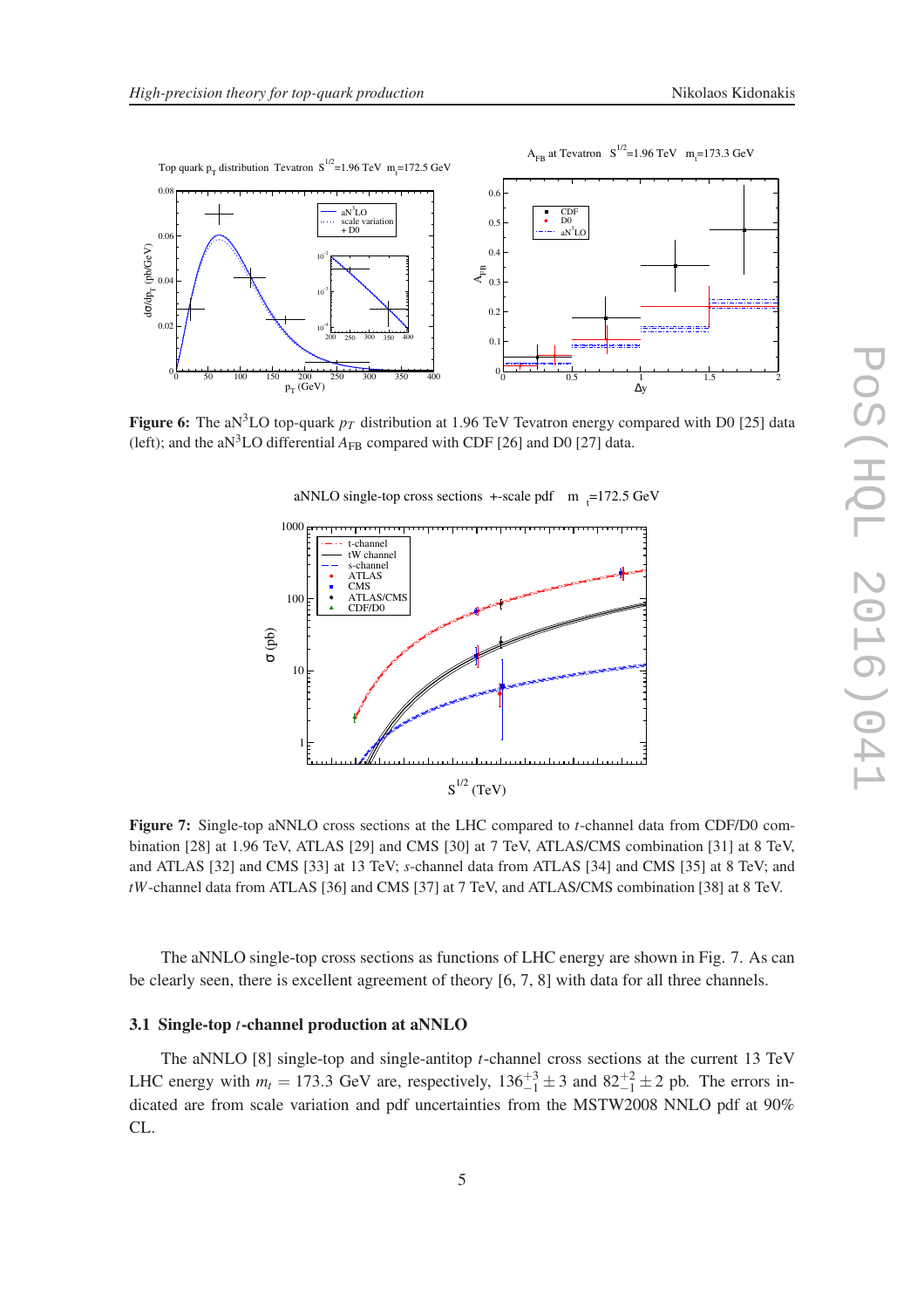

Figure 6: The aN<sup>3</sup>LO top-quark  $p_T$  distribution at 1.96 TeV Tevatron energy compared with D0 [25] data (left); and the aN<sup>3</sup>LO differential  $A_{FB}$  compared with CDF [26] and D0 [27] data.

aNNLO single-top cross sections  $+$ -scale pdf m  $_{t}$ =172.5 GeV



Figure 7: Single-top aNNLO cross sections at the LHC compared to *t*-channel data from CDF/D0 combination [28] at 1.96 TeV, ATLAS [29] and CMS [30] at 7 TeV, ATLAS/CMS combination [31] at 8 TeV, and ATLAS [32] and CMS [33] at 13 TeV; *s*-channel data from ATLAS [34] and CMS [35] at 8 TeV; and *tW*-channel data from ATLAS [36] and CMS [37] at 7 TeV, and ATLAS/CMS combination [38] at 8 TeV.

The aNNLO single-top cross sections as functions of LHC energy are shown in Fig. 7. As can be clearly seen, there is excellent agreement of theory [6, 7, 8] with data for all three channels.

#### 3.1 Single-top *t*-channel production at aNNLO

The aNNLO [8] single-top and single-antitop *t*-channel cross sections at the current 13 TeV LHC energy with  $m_t = 173.3$  GeV are, respectively,  $136^{+3}_{-1} \pm 3$  and  $82^{+2}_{-1} \pm 2$  pb. The errors indicated are from scale variation and pdf uncertainties from the MSTW2008 NNLO pdf at 90% CL.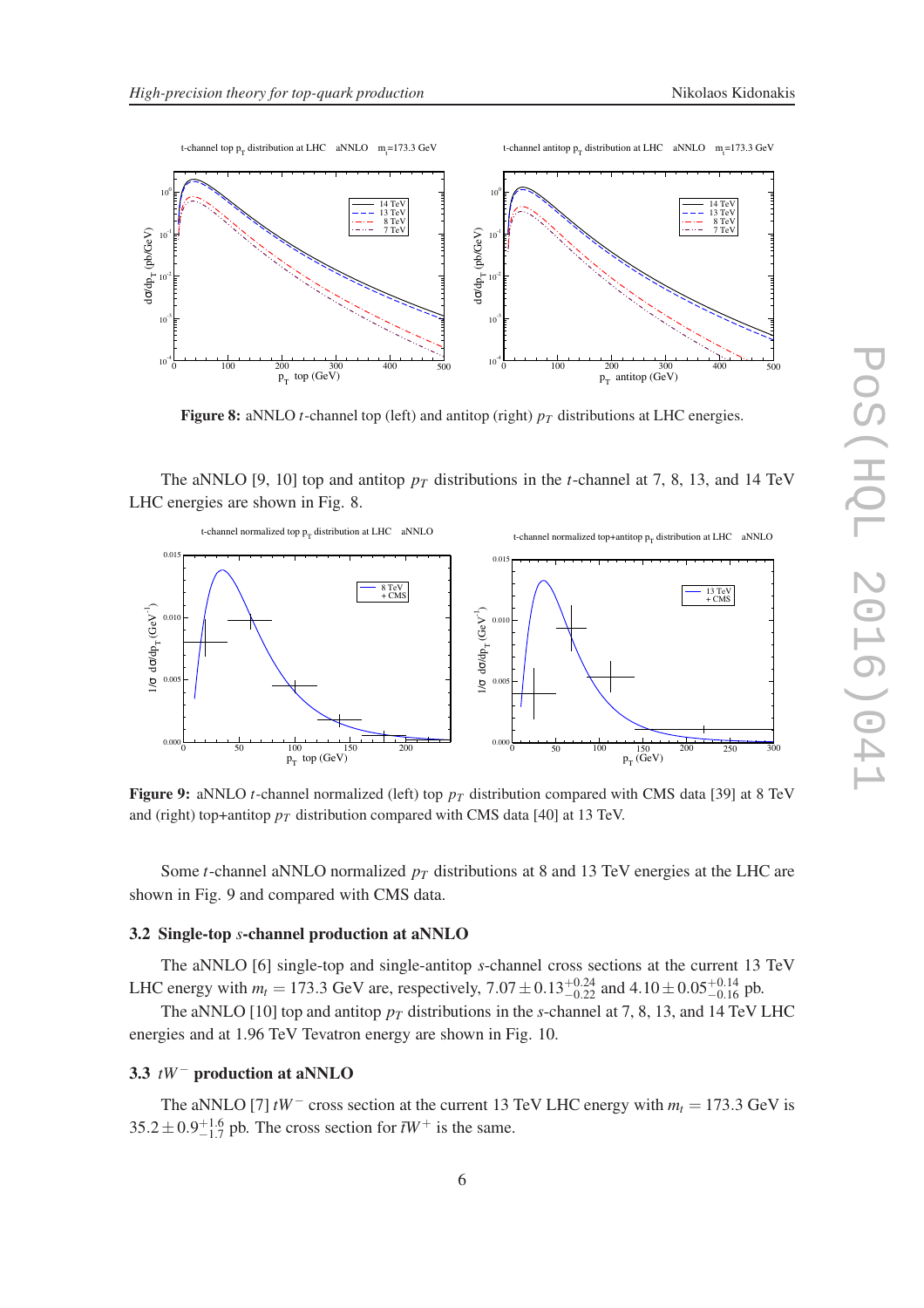

Figure 8: aNNLO *t*-channel top (left) and antitop (right)  $p_T$  distributions at LHC energies.

The aNNLO [9, 10] top and antitop  $p_T$  distributions in the *t*-channel at 7, 8, 13, and 14 TeV LHC energies are shown in Fig. 8.



**Figure 9:** aNNLO *t*-channel normalized (left) top  $p<sub>T</sub>$  distribution compared with CMS data [39] at 8 TeV and (right) top+antitop  $p<sub>T</sub>$  distribution compared with CMS data [40] at 13 TeV.

Some *t*-channel aNNLO normalized *p<sup>T</sup>* distributions at 8 and 13 TeV energies at the LHC are shown in Fig. 9 and compared with CMS data.

## 3.2 Single-top *s*-channel production at aNNLO

The aNNLO [6] single-top and single-antitop *s*-channel cross sections at the current 13 TeV LHC energy with  $m_t = 173.3$  GeV are, respectively,  $7.07 \pm 0.13_{-0.22}^{+0.24}$  and  $4.10 \pm 0.05_{-0.16}^{+0.14}$  pb.

The aNNLO [10] top and antitop  $p_T$  distributions in the *s*-channel at 7, 8, 13, and 14 TeV LHC energies and at 1.96 TeV Tevatron energy are shown in Fig. 10.

#### 3.3 *tW*− production at aNNLO

The aNNLO [7]  $tW^-$  cross section at the current 13 TeV LHC energy with  $m_t = 173.3$  GeV is  $35.2 \pm 0.9^{+1.6}_{-1.7}$  pb. The cross section for  $\bar{t}W^+$  is the same.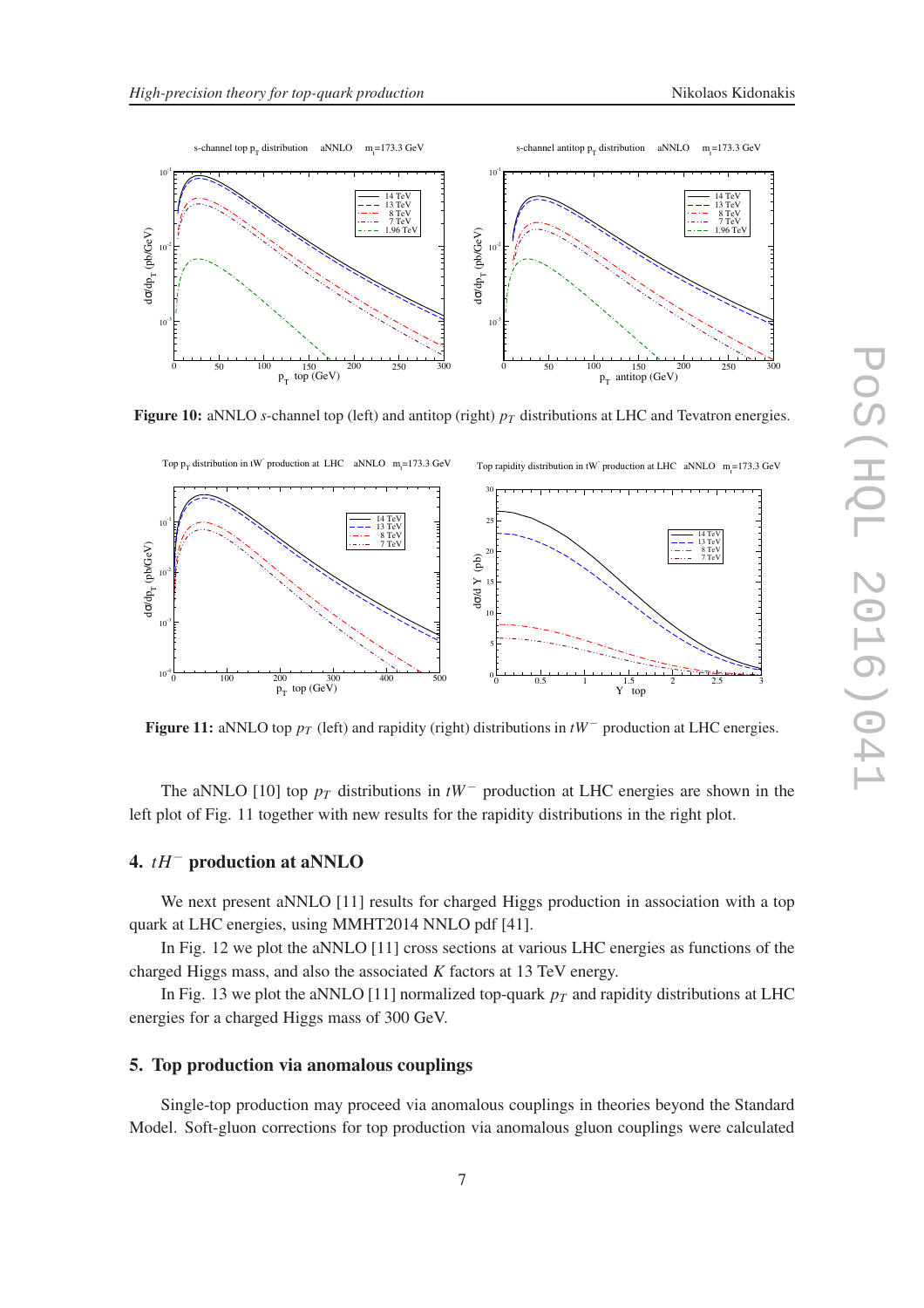

Figure 10: aNNLO *s*-channel top (left) and antitop (right)  $p<sub>T</sub>$  distributions at LHC and Tevatron energies.



Figure 11: aNNLO top *p<sup>T</sup>* (left) and rapidity (right) distributions in *tW*<sup>−</sup> production at LHC energies.

The aNNLO [10] top *p<sup>T</sup>* distributions in *tW*<sup>−</sup> production at LHC energies are shown in the left plot of Fig. 11 together with new results for the rapidity distributions in the right plot.

# 4. *tH*− production at aNNLO

We next present aNNLO [11] results for charged Higgs production in association with a top quark at LHC energies, using MMHT2014 NNLO pdf [41].

In Fig. 12 we plot the aNNLO [11] cross sections at various LHC energies as functions of the charged Higgs mass, and also the associated *K* factors at 13 TeV energy.

In Fig. 13 we plot the aNNLO [11] normalized top-quark  $p_T$  and rapidity distributions at LHC energies for a charged Higgs mass of 300 GeV.

# 5. Top production via anomalous couplings

Single-top production may proceed via anomalous couplings in theories beyond the Standard Model. Soft-gluon corrections for top production via anomalous gluon couplings were calculated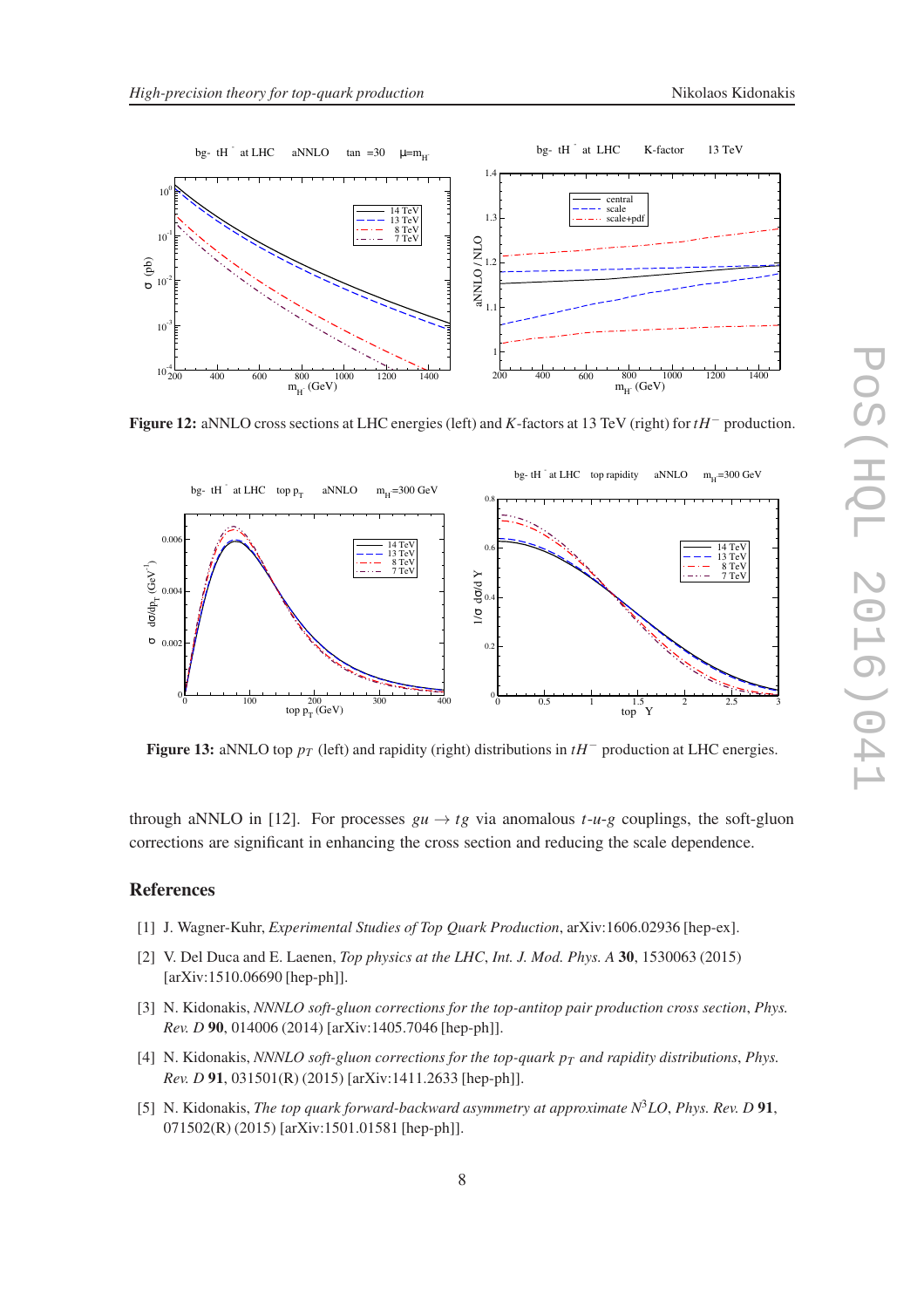



Figure 12: aNNLO cross sections at LHC energies (left) and *K*-factors at 13 TeV (right) for *tH*− production.



Figure 13: aNNLO top *p<sup>T</sup>* (left) and rapidity (right) distributions in *tH*<sup>−</sup> production at LHC energies.

through aNNLO in [12]. For processes  $gu \rightarrow tg$  via anomalous  $t-u-g$  couplings, the soft-gluon corrections are significant in enhancing the cross section and reducing the scale dependence.

### References

- [1] J. Wagner-Kuhr, *Experimental Studies of Top Quark Production*, arXiv:1606.02936 [hep-ex].
- [2] V. Del Duca and E. Laenen, *Top physics at the LHC*, *Int. J. Mod. Phys. A* 30, 1530063 (2015) [arXiv:1510.06690 [hep-ph]].
- [3] N. Kidonakis, *NNNLO soft-gluon corrections for the top-antitop pair production cross section*, *Phys. Rev. D* 90, 014006 (2014) [arXiv:1405.7046 [hep-ph]].
- [4] N. Kidonakis, *NNNLO soft-gluon corrections for the top-quark p<sup>T</sup> and rapidity distributions*, *Phys. Rev. D* 91, 031501(R) (2015) [arXiv:1411.2633 [hep-ph]].
- [5] N. Kidonakis, *The top quark forward-backward asymmetry at approximate N*3*LO*, *Phys. Rev. D* 91, 071502(R) (2015) [arXiv:1501.01581 [hep-ph]].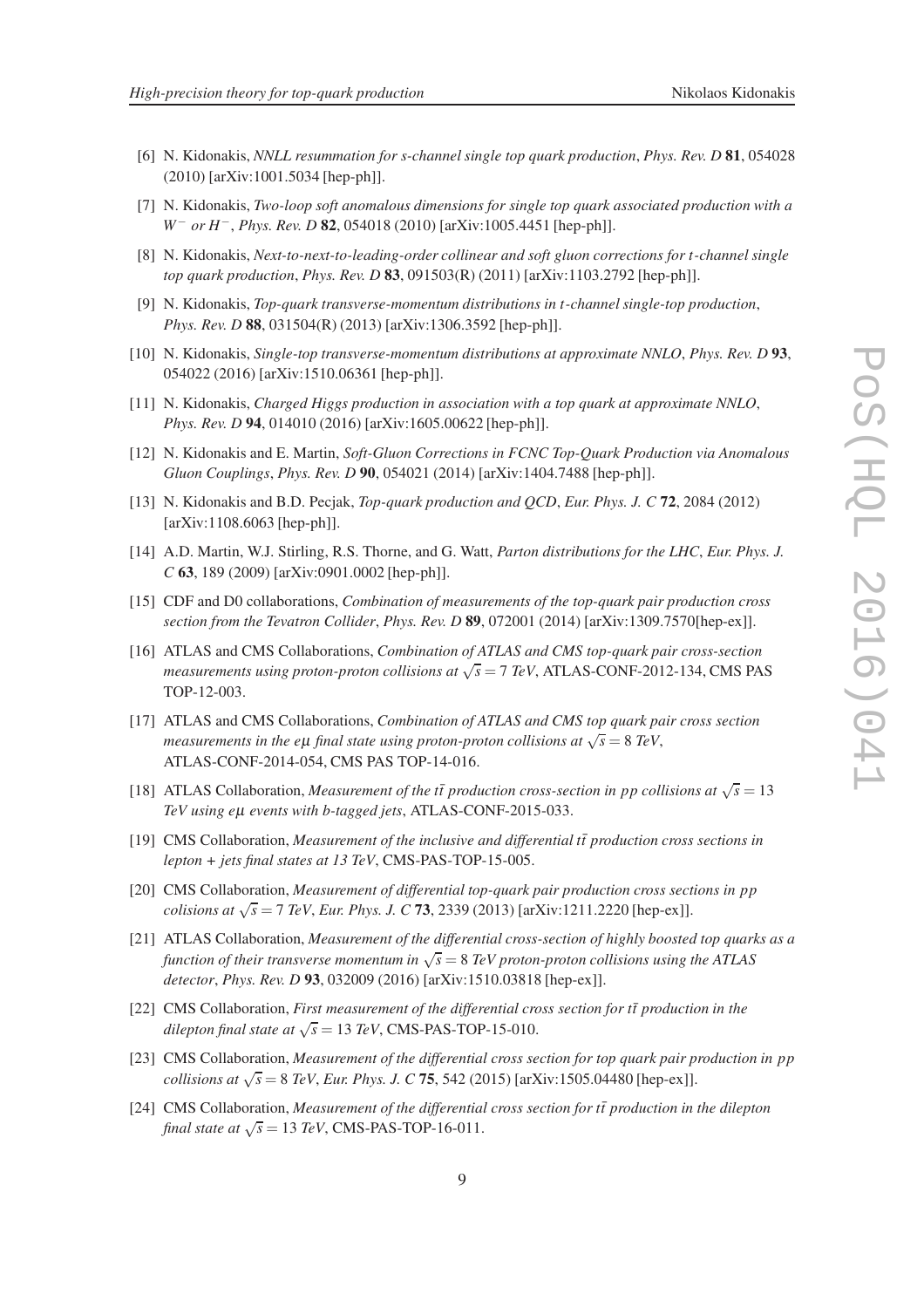- [6] N. Kidonakis, *NNLL resummation for s-channel single top quark production*, *Phys. Rev. D* 81, 054028 (2010) [arXiv:1001.5034 [hep-ph]].
- [7] N. Kidonakis, *Two-loop soft anomalous dimensions for single top quark associated production with a W<sup>−</sup> or H<sup>−</sup>, <i>Phys. Rev. D* **82**, 054018 (2010) [arXiv:1005.4451 [hep-ph]].
- [8] N. Kidonakis, *Next-to-next-to-leading-order collinear and soft gluon corrections for t-channel single top quark production*, *Phys. Rev. D* 83, 091503(R) (2011) [arXiv:1103.2792 [hep-ph]].
- [9] N. Kidonakis, *Top-quark transverse-momentum distributions in t-channel single-top production*, *Phys. Rev. D* 88, 031504(R) (2013) [arXiv:1306.3592 [hep-ph]].
- [10] N. Kidonakis, *Single-top transverse-momentum distributions at approximate NNLO*, *Phys. Rev. D* 93, 054022 (2016) [arXiv:1510.06361 [hep-ph]].
- [11] N. Kidonakis, *Charged Higgs production in association with a top quark at approximate NNLO*, *Phys. Rev. D* 94, 014010 (2016) [arXiv:1605.00622 [hep-ph]].
- [12] N. Kidonakis and E. Martin, *Soft-Gluon Corrections in FCNC Top-Quark Production via Anomalous Gluon Couplings*, *Phys. Rev. D* 90, 054021 (2014) [arXiv:1404.7488 [hep-ph]].
- [13] N. Kidonakis and B.D. Pecjak, *Top-quark production and QCD*, *Eur. Phys. J. C* 72, 2084 (2012) [arXiv:1108.6063 [hep-ph]].
- [14] A.D. Martin, W.J. Stirling, R.S. Thorne, and G. Watt, *Parton distributions for the LHC*, *Eur. Phys. J. C* 63, 189 (2009) [arXiv:0901.0002 [hep-ph]].
- [15] CDF and D0 collaborations, *Combination of measurements of the top-quark pair production cross section from the Tevatron Collider*, *Phys. Rev. D* 89, 072001 (2014) [arXiv:1309.7570[hep-ex]].
- [16] ATLAS and CMS Collaborations, *Combination of ATLAS and CMS top-quark pair cross-section measurements using proton-proton collisions at*  $\sqrt{s}$  = 7 *TeV*, ATLAS-CONF-2012-134, CMS PAS TOP-12-003.
- [17] ATLAS and CMS Collaborations, *Combination of ATLAS and CMS top quark pair cross section measurements in the e* $\mu$  *final state using proton-proton collisions at*  $\sqrt{s} = 8$  *TeV,* ATLAS-CONF-2014-054, CMS PAS TOP-14-016.
- [18] ATLAS Collaboration, *Measurement of the tt̄ production cross-section in pp collisions at*  $\sqrt{s} = 13$ *TeV using e*µ *events with b-tagged jets*, ATLAS-CONF-2015-033.
- [19] CMS Collaboration, *Measurement of the inclusive and differential tt production cross sections in lepton + jets final states at 13 TeV*, CMS-PAS-TOP-15-005.
- [20] CMS Collaboration, *Measurement of differential top-quark pair production cross sections in pp colisions at*  $\sqrt{s} = 7$  *TeV, Eur. Phys. J. C* 73, 2339 (2013) [arXiv:1211.2220 [hep-ex]].
- [21] ATLAS Collaboration, *Measurement of the differential cross-section of highly boosted top quarks as a* function of their transverse momentum in  $\sqrt{s} = 8$  TeV proton-proton collisions using the ATLAS *detector*, *Phys. Rev. D* 93, 032009 (2016) [arXiv:1510.03818 [hep-ex]].
- [22] CMS Collaboration, *First measurement of the differential cross section for tt production in the dilepton final state at*  $\sqrt{s} = 13$  *TeV*, CMS-PAS-TOP-15-010.
- [23] CMS Collaboration, *Measurement of the differential cross section for top quark pair production in pp collisions at*  $\sqrt{s} = 8$  *TeV, Eur. Phys. J. C* 75, 542 (2015) [arXiv:1505.04480 [hep-ex]].
- [24] CMS Collaboration, *Measurement of the differential cross section for tt production in the dilepton final state at*  $\sqrt{s} = 13$  *TeV*, CMS-PAS-TOP-16-011.